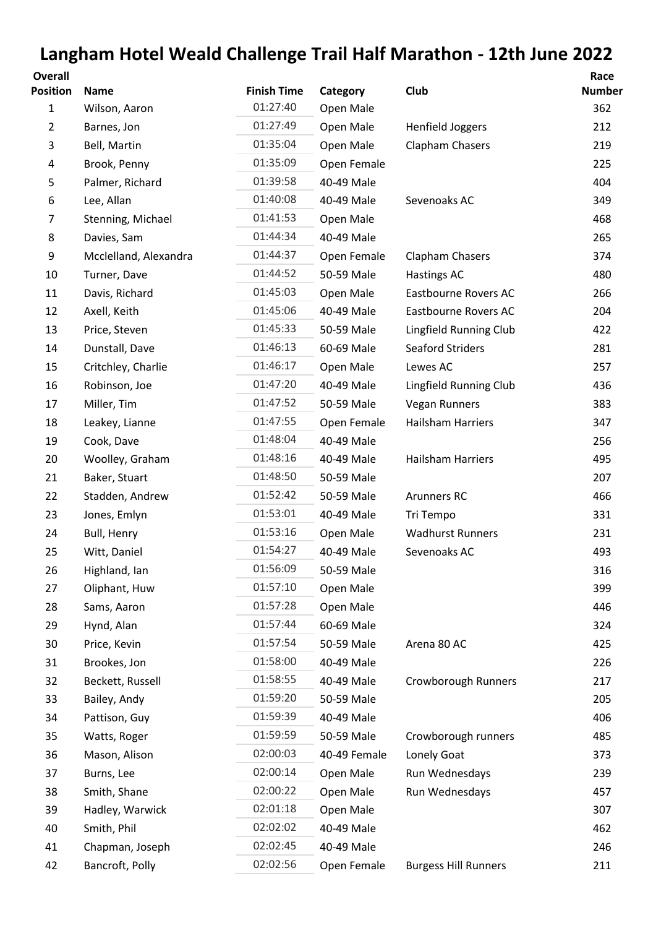## **Langham Hotel Weald Challenge Trail Half Marathon - 12th June 2022**

| <b>Overall</b>  |                       |                    |              |                             | Race          |
|-----------------|-----------------------|--------------------|--------------|-----------------------------|---------------|
| <b>Position</b> | <b>Name</b>           | <b>Finish Time</b> | Category     | Club                        | <b>Number</b> |
| 1               | Wilson, Aaron         | 01:27:40           | Open Male    |                             | 362           |
| $\overline{2}$  | Barnes, Jon           | 01:27:49           | Open Male    | Henfield Joggers            | 212           |
| 3               | Bell, Martin          | 01:35:04           | Open Male    | Clapham Chasers             | 219           |
| 4               | Brook, Penny          | 01:35:09           | Open Female  |                             | 225           |
| 5               | Palmer, Richard       | 01:39:58           | 40-49 Male   |                             | 404           |
| 6               | Lee, Allan            | 01:40:08           | 40-49 Male   | Sevenoaks AC                | 349           |
| 7               | Stenning, Michael     | 01:41:53           | Open Male    |                             | 468           |
| 8               | Davies, Sam           | 01:44:34           | 40-49 Male   |                             | 265           |
| 9               | Mcclelland, Alexandra | 01:44:37           | Open Female  | Clapham Chasers             | 374           |
| 10              | Turner, Dave          | 01:44:52           | 50-59 Male   | <b>Hastings AC</b>          | 480           |
| 11              | Davis, Richard        | 01:45:03           | Open Male    | <b>Eastbourne Rovers AC</b> | 266           |
| 12              | Axell, Keith          | 01:45:06           | 40-49 Male   | Eastbourne Rovers AC        | 204           |
| 13              | Price, Steven         | 01:45:33           | 50-59 Male   | Lingfield Running Club      | 422           |
| 14              | Dunstall, Dave        | 01:46:13           | 60-69 Male   | <b>Seaford Striders</b>     | 281           |
| 15              | Critchley, Charlie    | 01:46:17           | Open Male    | Lewes AC                    | 257           |
| 16              | Robinson, Joe         | 01:47:20           | 40-49 Male   | Lingfield Running Club      | 436           |
| 17              | Miller, Tim           | 01:47:52           | 50-59 Male   | <b>Vegan Runners</b>        | 383           |
| 18              | Leakey, Lianne        | 01:47:55           | Open Female  | Hailsham Harriers           | 347           |
| 19              | Cook, Dave            | 01:48:04           | 40-49 Male   |                             | 256           |
| 20              | Woolley, Graham       | 01:48:16           | 40-49 Male   | <b>Hailsham Harriers</b>    | 495           |
| 21              | Baker, Stuart         | 01:48:50           | 50-59 Male   |                             | 207           |
| 22              | Stadden, Andrew       | 01:52:42           | 50-59 Male   | <b>Arunners RC</b>          | 466           |
| 23              | Jones, Emlyn          | 01:53:01           | 40-49 Male   | Tri Tempo                   | 331           |
| 24              | Bull, Henry           | 01:53:16           | Open Male    | <b>Wadhurst Runners</b>     | 231           |
| 25              | Witt, Daniel          | 01:54:27           | 40-49 Male   | Sevenoaks AC                | 493           |
| 26              | Highland, Ian         | 01:56:09           | 50-59 Male   |                             | 316           |
| 27              | Oliphant, Huw         | 01:57:10           | Open Male    |                             | 399           |
| 28              | Sams, Aaron           | 01:57:28           | Open Male    |                             | 446           |
| 29              | Hynd, Alan            | 01:57:44           | 60-69 Male   |                             | 324           |
| 30              | Price, Kevin          | 01:57:54           | 50-59 Male   | Arena 80 AC                 | 425           |
| 31              | Brookes, Jon          | 01:58:00           | 40-49 Male   |                             | 226           |
| 32              | Beckett, Russell      | 01:58:55           | 40-49 Male   | Crowborough Runners         | 217           |
| 33              | Bailey, Andy          | 01:59:20           | 50-59 Male   |                             | 205           |
| 34              | Pattison, Guy         | 01:59:39           | 40-49 Male   |                             | 406           |
| 35              | Watts, Roger          | 01:59:59           | 50-59 Male   | Crowborough runners         | 485           |
| 36              | Mason, Alison         | 02:00:03           | 40-49 Female | Lonely Goat                 | 373           |
| 37              | Burns, Lee            | 02:00:14           | Open Male    | Run Wednesdays              | 239           |
| 38              | Smith, Shane          | 02:00:22           | Open Male    | Run Wednesdays              | 457           |
| 39              | Hadley, Warwick       | 02:01:18           | Open Male    |                             | 307           |
| 40              | Smith, Phil           | 02:02:02           | 40-49 Male   |                             | 462           |
| 41              | Chapman, Joseph       | 02:02:45           | 40-49 Male   |                             | 246           |
| 42              | Bancroft, Polly       | 02:02:56           | Open Female  | <b>Burgess Hill Runners</b> | 211           |
|                 |                       |                    |              |                             |               |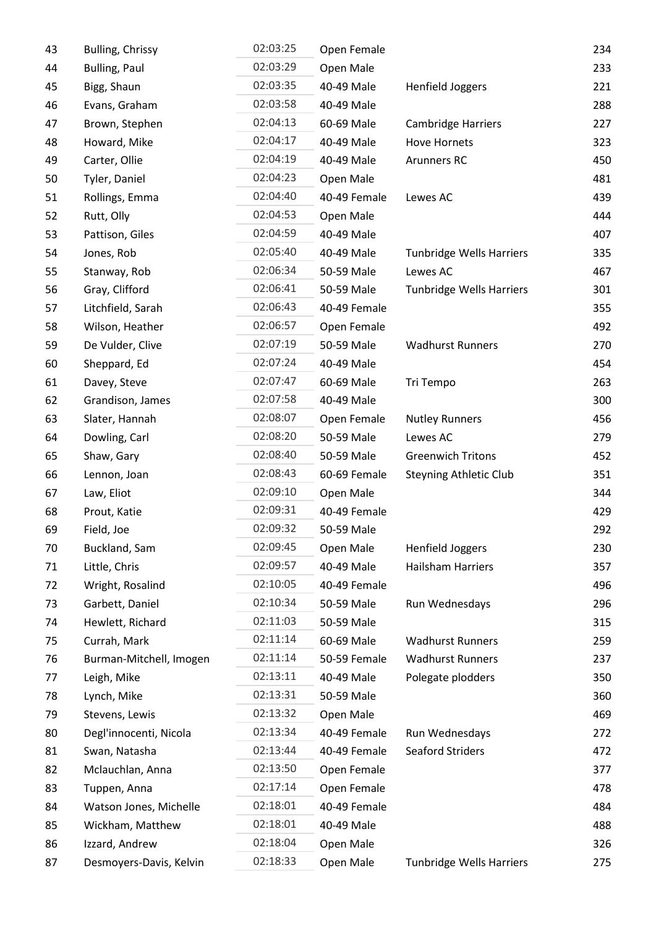| 43 | Bulling, Chrissy        | 02:03:25 | Open Female  |                                 | 234 |
|----|-------------------------|----------|--------------|---------------------------------|-----|
| 44 | <b>Bulling, Paul</b>    | 02:03:29 | Open Male    |                                 | 233 |
| 45 | Bigg, Shaun             | 02:03:35 | 40-49 Male   | Henfield Joggers                | 221 |
| 46 | Evans, Graham           | 02:03:58 | 40-49 Male   |                                 | 288 |
| 47 | Brown, Stephen          | 02:04:13 | 60-69 Male   | <b>Cambridge Harriers</b>       | 227 |
| 48 | Howard, Mike            | 02:04:17 | 40-49 Male   | <b>Hove Hornets</b>             | 323 |
| 49 | Carter, Ollie           | 02:04:19 | 40-49 Male   | Arunners RC                     | 450 |
| 50 | Tyler, Daniel           | 02:04:23 | Open Male    |                                 | 481 |
| 51 | Rollings, Emma          | 02:04:40 | 40-49 Female | Lewes AC                        | 439 |
| 52 | Rutt, Olly              | 02:04:53 | Open Male    |                                 | 444 |
| 53 | Pattison, Giles         | 02:04:59 | 40-49 Male   |                                 | 407 |
| 54 | Jones, Rob              | 02:05:40 | 40-49 Male   | <b>Tunbridge Wells Harriers</b> | 335 |
| 55 | Stanway, Rob            | 02:06:34 | 50-59 Male   | Lewes AC                        | 467 |
| 56 | Gray, Clifford          | 02:06:41 | 50-59 Male   | Tunbridge Wells Harriers        | 301 |
| 57 | Litchfield, Sarah       | 02:06:43 | 40-49 Female |                                 | 355 |
| 58 | Wilson, Heather         | 02:06:57 | Open Female  |                                 | 492 |
| 59 | De Vulder, Clive        | 02:07:19 | 50-59 Male   | <b>Wadhurst Runners</b>         | 270 |
| 60 | Sheppard, Ed            | 02:07:24 | 40-49 Male   |                                 | 454 |
| 61 | Davey, Steve            | 02:07:47 | 60-69 Male   | Tri Tempo                       | 263 |
| 62 | Grandison, James        | 02:07:58 | 40-49 Male   |                                 | 300 |
| 63 | Slater, Hannah          | 02:08:07 | Open Female  | <b>Nutley Runners</b>           | 456 |
| 64 | Dowling, Carl           | 02:08:20 | 50-59 Male   | Lewes AC                        | 279 |
| 65 | Shaw, Gary              | 02:08:40 | 50-59 Male   | <b>Greenwich Tritons</b>        | 452 |
| 66 | Lennon, Joan            | 02:08:43 | 60-69 Female | Steyning Athletic Club          | 351 |
| 67 | Law, Eliot              | 02:09:10 | Open Male    |                                 | 344 |
| 68 | Prout, Katie            | 02:09:31 | 40-49 Female |                                 | 429 |
| 69 | Field, Joe              | 02:09:32 | 50-59 Male   |                                 | 292 |
| 70 | Buckland, Sam           | 02:09:45 | Open Male    | <b>Henfield Joggers</b>         | 230 |
| 71 | Little, Chris           | 02:09:57 | 40-49 Male   | <b>Hailsham Harriers</b>        | 357 |
| 72 | Wright, Rosalind        | 02:10:05 | 40-49 Female |                                 | 496 |
| 73 | Garbett, Daniel         | 02:10:34 | 50-59 Male   | Run Wednesdays                  | 296 |
| 74 | Hewlett, Richard        | 02:11:03 | 50-59 Male   |                                 | 315 |
| 75 | Currah, Mark            | 02:11:14 | 60-69 Male   | <b>Wadhurst Runners</b>         | 259 |
| 76 | Burman-Mitchell, Imogen | 02:11:14 | 50-59 Female | <b>Wadhurst Runners</b>         | 237 |
| 77 | Leigh, Mike             | 02:13:11 | 40-49 Male   | Polegate plodders               | 350 |
| 78 | Lynch, Mike             | 02:13:31 | 50-59 Male   |                                 | 360 |
| 79 | Stevens, Lewis          | 02:13:32 | Open Male    |                                 | 469 |
| 80 | Degl'innocenti, Nicola  | 02:13:34 | 40-49 Female | Run Wednesdays                  | 272 |
| 81 | Swan, Natasha           | 02:13:44 | 40-49 Female | <b>Seaford Striders</b>         | 472 |
| 82 | Mclauchlan, Anna        | 02:13:50 | Open Female  |                                 | 377 |
| 83 | Tuppen, Anna            | 02:17:14 | Open Female  |                                 | 478 |
| 84 | Watson Jones, Michelle  | 02:18:01 | 40-49 Female |                                 | 484 |
| 85 | Wickham, Matthew        | 02:18:01 | 40-49 Male   |                                 | 488 |
| 86 | Izzard, Andrew          | 02:18:04 | Open Male    |                                 | 326 |
| 87 | Desmoyers-Davis, Kelvin | 02:18:33 | Open Male    | <b>Tunbridge Wells Harriers</b> | 275 |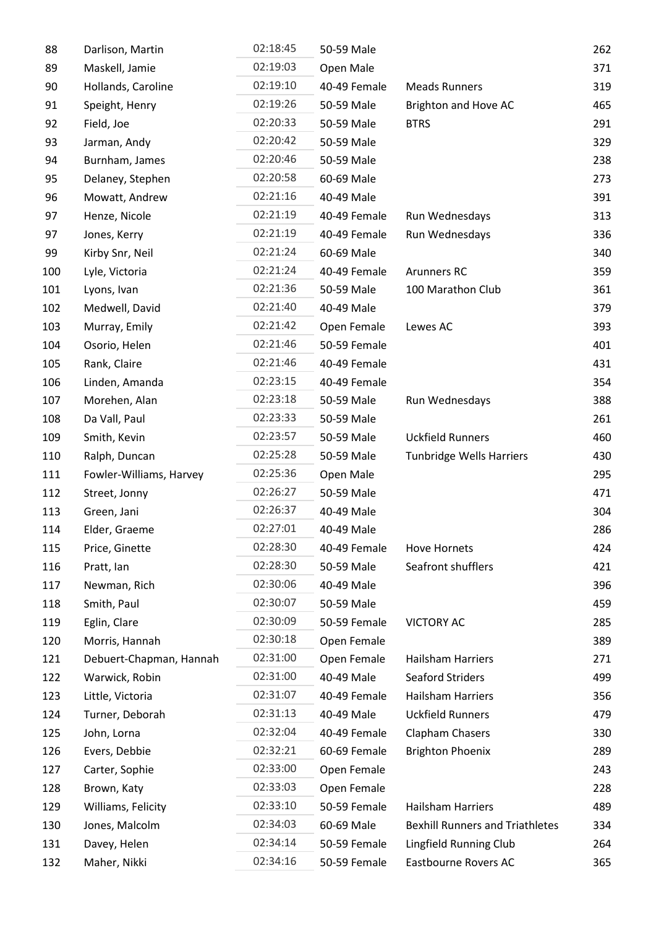| 88  | Darlison, Martin        | 02:18:45 | 50-59 Male   |                                        | 262 |
|-----|-------------------------|----------|--------------|----------------------------------------|-----|
| 89  | Maskell, Jamie          | 02:19:03 | Open Male    |                                        | 371 |
| 90  | Hollands, Caroline      | 02:19:10 | 40-49 Female | <b>Meads Runners</b>                   | 319 |
| 91  | Speight, Henry          | 02:19:26 | 50-59 Male   | Brighton and Hove AC                   | 465 |
| 92  | Field, Joe              | 02:20:33 | 50-59 Male   | <b>BTRS</b>                            | 291 |
| 93  | Jarman, Andy            | 02:20:42 | 50-59 Male   |                                        | 329 |
| 94  | Burnham, James          | 02:20:46 | 50-59 Male   |                                        | 238 |
| 95  | Delaney, Stephen        | 02:20:58 | 60-69 Male   |                                        | 273 |
| 96  | Mowatt, Andrew          | 02:21:16 | 40-49 Male   |                                        | 391 |
| 97  | Henze, Nicole           | 02:21:19 | 40-49 Female | Run Wednesdays                         | 313 |
| 97  | Jones, Kerry            | 02:21:19 | 40-49 Female | Run Wednesdays                         | 336 |
| 99  | Kirby Snr, Neil         | 02:21:24 | 60-69 Male   |                                        | 340 |
| 100 | Lyle, Victoria          | 02:21:24 | 40-49 Female | <b>Arunners RC</b>                     | 359 |
| 101 | Lyons, Ivan             | 02:21:36 | 50-59 Male   | 100 Marathon Club                      | 361 |
| 102 | Medwell, David          | 02:21:40 | 40-49 Male   |                                        | 379 |
| 103 | Murray, Emily           | 02:21:42 | Open Female  | Lewes AC                               | 393 |
| 104 | Osorio, Helen           | 02:21:46 | 50-59 Female |                                        | 401 |
| 105 | Rank, Claire            | 02:21:46 | 40-49 Female |                                        | 431 |
| 106 | Linden, Amanda          | 02:23:15 | 40-49 Female |                                        | 354 |
| 107 | Morehen, Alan           | 02:23:18 | 50-59 Male   | Run Wednesdays                         | 388 |
| 108 | Da Vall, Paul           | 02:23:33 | 50-59 Male   |                                        | 261 |
| 109 | Smith, Kevin            | 02:23:57 | 50-59 Male   | <b>Uckfield Runners</b>                | 460 |
| 110 | Ralph, Duncan           | 02:25:28 | 50-59 Male   | <b>Tunbridge Wells Harriers</b>        | 430 |
| 111 | Fowler-Williams, Harvey | 02:25:36 | Open Male    |                                        | 295 |
| 112 | Street, Jonny           | 02:26:27 | 50-59 Male   |                                        | 471 |
| 113 | Green, Jani             | 02:26:37 | 40-49 Male   |                                        | 304 |
| 114 | Elder, Graeme           | 02:27:01 | 40-49 Male   |                                        | 286 |
| 115 | Price, Ginette          | 02:28:30 | 40-49 Female | <b>Hove Hornets</b>                    | 424 |
| 116 | Pratt, lan              | 02:28:30 | 50-59 Male   | Seafront shufflers                     | 421 |
| 117 | Newman, Rich            | 02:30:06 | 40-49 Male   |                                        | 396 |
| 118 | Smith, Paul             | 02:30:07 | 50-59 Male   |                                        | 459 |
| 119 | Eglin, Clare            | 02:30:09 | 50-59 Female | <b>VICTORY AC</b>                      | 285 |
| 120 | Morris, Hannah          | 02:30:18 | Open Female  |                                        | 389 |
| 121 | Debuert-Chapman, Hannah | 02:31:00 | Open Female  | <b>Hailsham Harriers</b>               | 271 |
| 122 | Warwick, Robin          | 02:31:00 | 40-49 Male   | <b>Seaford Striders</b>                | 499 |
| 123 | Little, Victoria        | 02:31:07 | 40-49 Female | <b>Hailsham Harriers</b>               | 356 |
| 124 | Turner, Deborah         | 02:31:13 | 40-49 Male   | <b>Uckfield Runners</b>                | 479 |
| 125 | John, Lorna             | 02:32:04 | 40-49 Female | Clapham Chasers                        | 330 |
| 126 | Evers, Debbie           | 02:32:21 | 60-69 Female | <b>Brighton Phoenix</b>                | 289 |
| 127 | Carter, Sophie          | 02:33:00 | Open Female  |                                        | 243 |
| 128 | Brown, Katy             | 02:33:03 | Open Female  |                                        | 228 |
| 129 | Williams, Felicity      | 02:33:10 | 50-59 Female | <b>Hailsham Harriers</b>               | 489 |
| 130 | Jones, Malcolm          | 02:34:03 | 60-69 Male   | <b>Bexhill Runners and Triathletes</b> | 334 |
| 131 | Davey, Helen            | 02:34:14 | 50-59 Female | Lingfield Running Club                 | 264 |
| 132 | Maher, Nikki            | 02:34:16 | 50-59 Female | Eastbourne Rovers AC                   | 365 |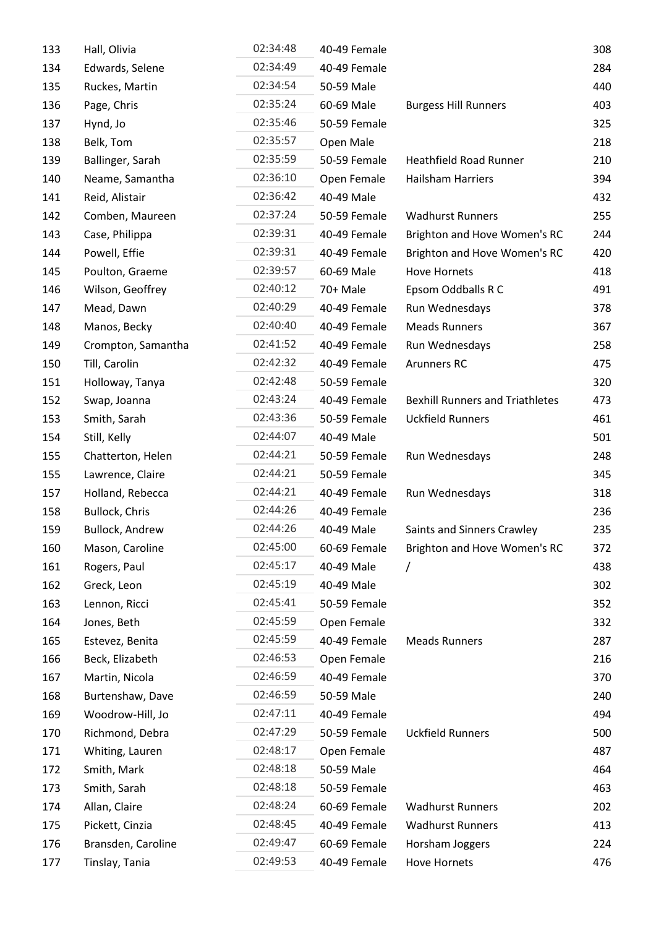| 133 | Hall, Olivia           | 02:34:48 | 40-49 Female |                                        | 308 |
|-----|------------------------|----------|--------------|----------------------------------------|-----|
| 134 | Edwards, Selene        | 02:34:49 | 40-49 Female |                                        | 284 |
| 135 | Ruckes, Martin         | 02:34:54 | 50-59 Male   |                                        | 440 |
| 136 | Page, Chris            | 02:35:24 | 60-69 Male   | <b>Burgess Hill Runners</b>            | 403 |
| 137 | Hynd, Jo               | 02:35:46 | 50-59 Female |                                        | 325 |
| 138 | Belk, Tom              | 02:35:57 | Open Male    |                                        | 218 |
| 139 | Ballinger, Sarah       | 02:35:59 | 50-59 Female | <b>Heathfield Road Runner</b>          | 210 |
| 140 | Neame, Samantha        | 02:36:10 | Open Female  | <b>Hailsham Harriers</b>               | 394 |
| 141 | Reid, Alistair         | 02:36:42 | 40-49 Male   |                                        | 432 |
| 142 | Comben, Maureen        | 02:37:24 | 50-59 Female | <b>Wadhurst Runners</b>                | 255 |
| 143 | Case, Philippa         | 02:39:31 | 40-49 Female | Brighton and Hove Women's RC           | 244 |
| 144 | Powell, Effie          | 02:39:31 | 40-49 Female | Brighton and Hove Women's RC           | 420 |
| 145 | Poulton, Graeme        | 02:39:57 | 60-69 Male   | <b>Hove Hornets</b>                    | 418 |
| 146 | Wilson, Geoffrey       | 02:40:12 | 70+ Male     | Epsom Oddballs R C                     | 491 |
| 147 | Mead, Dawn             | 02:40:29 | 40-49 Female | Run Wednesdays                         | 378 |
| 148 | Manos, Becky           | 02:40:40 | 40-49 Female | <b>Meads Runners</b>                   | 367 |
| 149 | Crompton, Samantha     | 02:41:52 | 40-49 Female | Run Wednesdays                         | 258 |
| 150 | Till, Carolin          | 02:42:32 | 40-49 Female | <b>Arunners RC</b>                     | 475 |
| 151 | Holloway, Tanya        | 02:42:48 | 50-59 Female |                                        | 320 |
| 152 | Swap, Joanna           | 02:43:24 | 40-49 Female | <b>Bexhill Runners and Triathletes</b> | 473 |
| 153 | Smith, Sarah           | 02:43:36 | 50-59 Female | <b>Uckfield Runners</b>                | 461 |
| 154 | Still, Kelly           | 02:44:07 | 40-49 Male   |                                        | 501 |
| 155 | Chatterton, Helen      | 02:44:21 | 50-59 Female | Run Wednesdays                         | 248 |
| 155 | Lawrence, Claire       | 02:44:21 | 50-59 Female |                                        | 345 |
| 157 | Holland, Rebecca       | 02:44:21 | 40-49 Female | Run Wednesdays                         | 318 |
| 158 | <b>Bullock, Chris</b>  | 02:44:26 | 40-49 Female |                                        | 236 |
| 159 | <b>Bullock, Andrew</b> | 02:44:26 | 40-49 Male   | Saints and Sinners Crawley             | 235 |
| 160 | Mason, Caroline        | 02:45:00 | 60-69 Female | Brighton and Hove Women's RC           | 372 |
| 161 | Rogers, Paul           | 02:45:17 | 40-49 Male   |                                        | 438 |
| 162 | Greck, Leon            | 02:45:19 | 40-49 Male   |                                        | 302 |
| 163 | Lennon, Ricci          | 02:45:41 | 50-59 Female |                                        | 352 |
| 164 | Jones, Beth            | 02:45:59 | Open Female  |                                        | 332 |
| 165 | Estevez, Benita        | 02:45:59 | 40-49 Female | <b>Meads Runners</b>                   | 287 |
| 166 | Beck, Elizabeth        | 02:46:53 | Open Female  |                                        | 216 |
| 167 | Martin, Nicola         | 02:46:59 | 40-49 Female |                                        | 370 |
| 168 | Burtenshaw, Dave       | 02:46:59 | 50-59 Male   |                                        | 240 |
| 169 | Woodrow-Hill, Jo       | 02:47:11 | 40-49 Female |                                        | 494 |
| 170 | Richmond, Debra        | 02:47:29 | 50-59 Female | <b>Uckfield Runners</b>                | 500 |
| 171 | Whiting, Lauren        | 02:48:17 | Open Female  |                                        | 487 |
| 172 | Smith, Mark            | 02:48:18 | 50-59 Male   |                                        | 464 |
| 173 | Smith, Sarah           | 02:48:18 | 50-59 Female |                                        | 463 |
| 174 | Allan, Claire          | 02:48:24 | 60-69 Female | <b>Wadhurst Runners</b>                | 202 |
| 175 | Pickett, Cinzia        | 02:48:45 | 40-49 Female | <b>Wadhurst Runners</b>                | 413 |
| 176 | Bransden, Caroline     | 02:49:47 | 60-69 Female | Horsham Joggers                        | 224 |
| 177 | Tinslay, Tania         | 02:49:53 | 40-49 Female | Hove Hornets                           | 476 |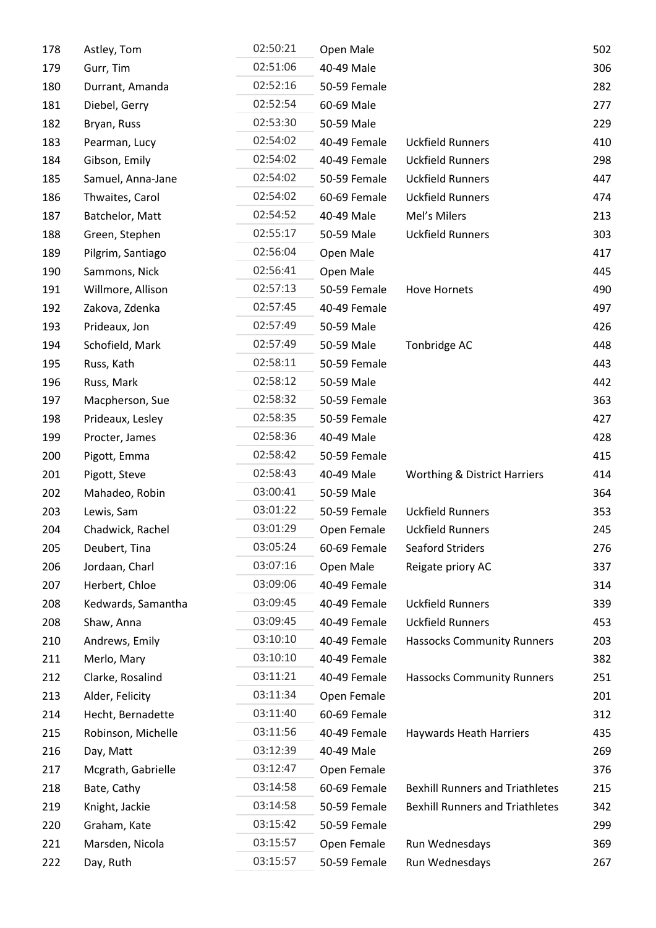| 178 | Astley, Tom        | 02:50:21 | Open Male    |                                         | 502 |
|-----|--------------------|----------|--------------|-----------------------------------------|-----|
| 179 | Gurr, Tim          | 02:51:06 | 40-49 Male   |                                         | 306 |
| 180 | Durrant, Amanda    | 02:52:16 | 50-59 Female |                                         | 282 |
| 181 | Diebel, Gerry      | 02:52:54 | 60-69 Male   |                                         | 277 |
| 182 | Bryan, Russ        | 02:53:30 | 50-59 Male   |                                         | 229 |
| 183 | Pearman, Lucy      | 02:54:02 | 40-49 Female | <b>Uckfield Runners</b>                 | 410 |
| 184 | Gibson, Emily      | 02:54:02 | 40-49 Female | <b>Uckfield Runners</b>                 | 298 |
| 185 | Samuel, Anna-Jane  | 02:54:02 | 50-59 Female | <b>Uckfield Runners</b>                 | 447 |
| 186 | Thwaites, Carol    | 02:54:02 | 60-69 Female | <b>Uckfield Runners</b>                 | 474 |
| 187 | Batchelor, Matt    | 02:54:52 | 40-49 Male   | Mel's Milers                            | 213 |
| 188 | Green, Stephen     | 02:55:17 | 50-59 Male   | <b>Uckfield Runners</b>                 | 303 |
| 189 | Pilgrim, Santiago  | 02:56:04 | Open Male    |                                         | 417 |
| 190 | Sammons, Nick      | 02:56:41 | Open Male    |                                         | 445 |
| 191 | Willmore, Allison  | 02:57:13 | 50-59 Female | Hove Hornets                            | 490 |
| 192 | Zakova, Zdenka     | 02:57:45 | 40-49 Female |                                         | 497 |
| 193 | Prideaux, Jon      | 02:57:49 | 50-59 Male   |                                         | 426 |
| 194 | Schofield, Mark    | 02:57:49 | 50-59 Male   | Tonbridge AC                            | 448 |
| 195 | Russ, Kath         | 02:58:11 | 50-59 Female |                                         | 443 |
| 196 | Russ, Mark         | 02:58:12 | 50-59 Male   |                                         | 442 |
| 197 | Macpherson, Sue    | 02:58:32 | 50-59 Female |                                         | 363 |
| 198 | Prideaux, Lesley   | 02:58:35 | 50-59 Female |                                         | 427 |
| 199 | Procter, James     | 02:58:36 | 40-49 Male   |                                         | 428 |
| 200 | Pigott, Emma       | 02:58:42 | 50-59 Female |                                         | 415 |
| 201 | Pigott, Steve      | 02:58:43 | 40-49 Male   | <b>Worthing &amp; District Harriers</b> | 414 |
| 202 | Mahadeo, Robin     | 03:00:41 | 50-59 Male   |                                         | 364 |
| 203 | Lewis, Sam         | 03:01:22 | 50-59 Female | <b>Uckfield Runners</b>                 | 353 |
| 204 | Chadwick, Rachel   | 03:01:29 | Open Female  | <b>Uckfield Runners</b>                 | 245 |
| 205 | Deubert, Tina      | 03:05:24 | 60-69 Female | <b>Seaford Striders</b>                 | 276 |
| 206 | Jordaan, Charl     | 03:07:16 | Open Male    | Reigate priory AC                       | 337 |
| 207 | Herbert, Chloe     | 03:09:06 | 40-49 Female |                                         | 314 |
| 208 | Kedwards, Samantha | 03:09:45 | 40-49 Female | <b>Uckfield Runners</b>                 | 339 |
| 208 | Shaw, Anna         | 03:09:45 | 40-49 Female | <b>Uckfield Runners</b>                 | 453 |
| 210 | Andrews, Emily     | 03:10:10 | 40-49 Female | <b>Hassocks Community Runners</b>       | 203 |
| 211 | Merlo, Mary        | 03:10:10 | 40-49 Female |                                         | 382 |
| 212 | Clarke, Rosalind   | 03:11:21 | 40-49 Female | <b>Hassocks Community Runners</b>       | 251 |
| 213 | Alder, Felicity    | 03:11:34 | Open Female  |                                         | 201 |
| 214 | Hecht, Bernadette  | 03:11:40 | 60-69 Female |                                         | 312 |
| 215 | Robinson, Michelle | 03:11:56 | 40-49 Female | Haywards Heath Harriers                 | 435 |
| 216 | Day, Matt          | 03:12:39 | 40-49 Male   |                                         | 269 |
| 217 | Mcgrath, Gabrielle | 03:12:47 | Open Female  |                                         | 376 |
| 218 | Bate, Cathy        | 03:14:58 | 60-69 Female | <b>Bexhill Runners and Triathletes</b>  | 215 |
| 219 | Knight, Jackie     | 03:14:58 | 50-59 Female | <b>Bexhill Runners and Triathletes</b>  | 342 |
| 220 | Graham, Kate       | 03:15:42 | 50-59 Female |                                         | 299 |
| 221 | Marsden, Nicola    | 03:15:57 | Open Female  | Run Wednesdays                          | 369 |
| 222 | Day, Ruth          | 03:15:57 | 50-59 Female | Run Wednesdays                          | 267 |